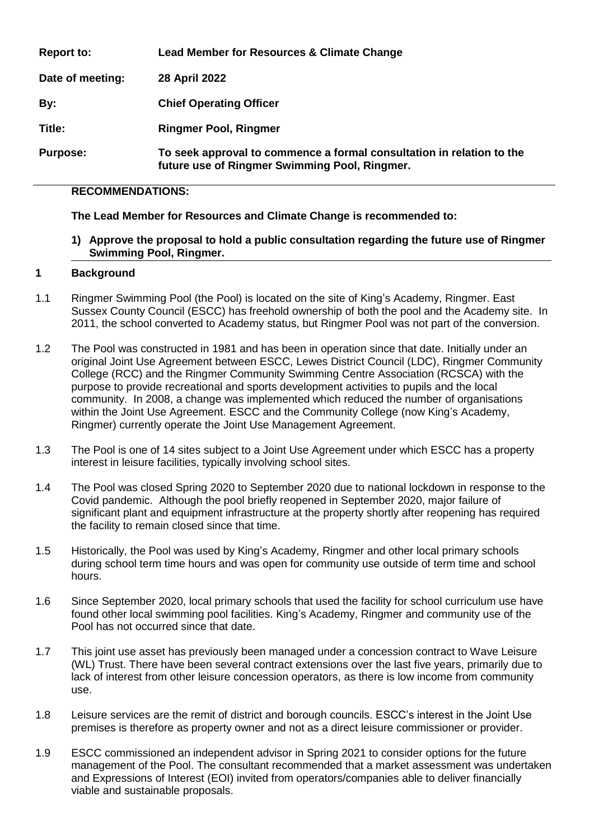| <b>Report to:</b> | Lead Member for Resources & Climate Change                                                                             |
|-------------------|------------------------------------------------------------------------------------------------------------------------|
| Date of meeting:  | 28 April 2022                                                                                                          |
| By:               | <b>Chief Operating Officer</b>                                                                                         |
| Title:            | <b>Ringmer Pool, Ringmer</b>                                                                                           |
| <b>Purpose:</b>   | To seek approval to commence a formal consultation in relation to the<br>future use of Ringmer Swimming Pool, Ringmer. |

## **RECOMMENDATIONS:**

## **The Lead Member for Resources and Climate Change is recommended to:**

**1) Approve the proposal to hold a public consultation regarding the future use of Ringmer Swimming Pool, Ringmer.** 

#### **1 Background**

- 1.1 Ringmer Swimming Pool (the Pool) is located on the site of King's Academy, Ringmer. East Sussex County Council (ESCC) has freehold ownership of both the pool and the Academy site. In 2011, the school converted to Academy status, but Ringmer Pool was not part of the conversion.
- 1.2 The Pool was constructed in 1981 and has been in operation since that date. Initially under an original Joint Use Agreement between ESCC, Lewes District Council (LDC), Ringmer Community College (RCC) and the Ringmer Community Swimming Centre Association (RCSCA) with the purpose to provide recreational and sports development activities to pupils and the local community. In 2008, a change was implemented which reduced the number of organisations within the Joint Use Agreement. ESCC and the Community College (now King's Academy, Ringmer) currently operate the Joint Use Management Agreement.
- 1.3 The Pool is one of 14 sites subject to a Joint Use Agreement under which ESCC has a property interest in leisure facilities, typically involving school sites.
- 1.4 The Pool was closed Spring 2020 to September 2020 due to national lockdown in response to the Covid pandemic. Although the pool briefly reopened in September 2020, major failure of significant plant and equipment infrastructure at the property shortly after reopening has required the facility to remain closed since that time.
- 1.5 Historically, the Pool was used by King's Academy, Ringmer and other local primary schools during school term time hours and was open for community use outside of term time and school hours.
- 1.6 Since September 2020, local primary schools that used the facility for school curriculum use have found other local swimming pool facilities. King's Academy, Ringmer and community use of the Pool has not occurred since that date.
- 1.7 This joint use asset has previously been managed under a concession contract to Wave Leisure (WL) Trust. There have been several contract extensions over the last five years, primarily due to lack of interest from other leisure concession operators, as there is low income from community use.
- 1.8 Leisure services are the remit of district and borough councils. ESCC's interest in the Joint Use premises is therefore as property owner and not as a direct leisure commissioner or provider.
- 1.9 ESCC commissioned an independent advisor in Spring 2021 to consider options for the future management of the Pool. The consultant recommended that a market assessment was undertaken and Expressions of Interest (EOI) invited from operators/companies able to deliver financially viable and sustainable proposals.